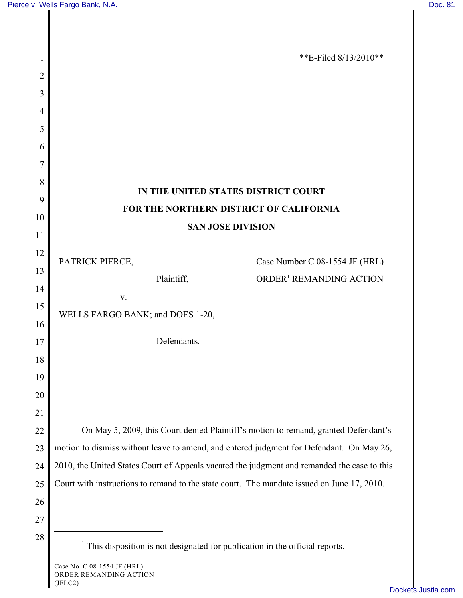(JFLC2)



[Dockets.Justia.com](http://dockets.justia.com/)